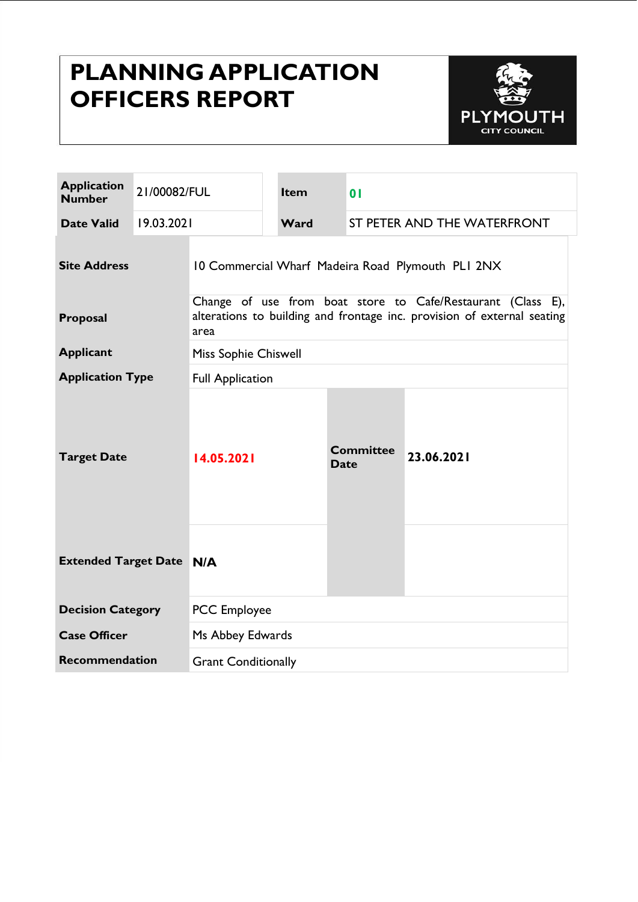# **PLANNING APPLICATION OFFICERS REPORT**



| <b>Application</b><br><b>Number</b> | 21/00082/FUL |                                                                                                                                                | Item | 0 <sub>1</sub>                  |            |  |
|-------------------------------------|--------------|------------------------------------------------------------------------------------------------------------------------------------------------|------|---------------------------------|------------|--|
| <b>Date Valid</b>                   | 19.03.2021   |                                                                                                                                                | Ward | ST PETER AND THE WATERFRONT     |            |  |
| <b>Site Address</b>                 |              | 10 Commercial Wharf Madeira Road Plymouth PLI 2NX                                                                                              |      |                                 |            |  |
| Proposal                            |              | Change of use from boat store to Cafe/Restaurant (Class E),<br>alterations to building and frontage inc. provision of external seating<br>area |      |                                 |            |  |
| <b>Applicant</b>                    |              | Miss Sophie Chiswell                                                                                                                           |      |                                 |            |  |
| <b>Application Type</b>             |              | <b>Full Application</b>                                                                                                                        |      |                                 |            |  |
| <b>Target Date</b>                  |              | 14.05.2021                                                                                                                                     |      | <b>Committee</b><br><b>Date</b> | 23.06.2021 |  |
| <b>Extended Target Date N/A</b>     |              |                                                                                                                                                |      |                                 |            |  |
| <b>Decision Category</b>            |              | <b>PCC</b> Employee                                                                                                                            |      |                                 |            |  |
| <b>Case Officer</b>                 |              | Ms Abbey Edwards                                                                                                                               |      |                                 |            |  |
| <b>Recommendation</b>               |              | <b>Grant Conditionally</b>                                                                                                                     |      |                                 |            |  |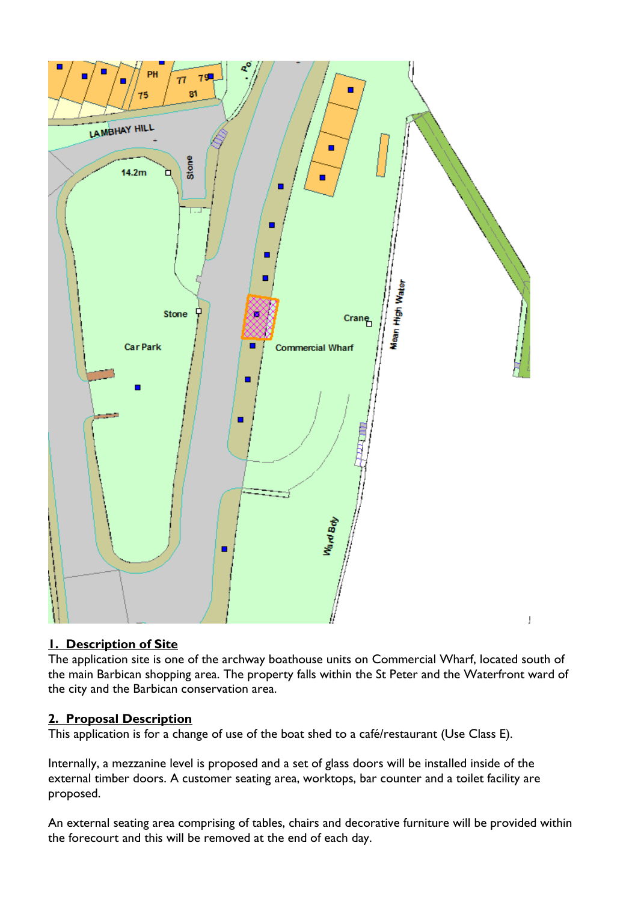

# **1. Description of Site**

The application site is one of the archway boathouse units on Commercial Wharf, located south of the main Barbican shopping area. The property falls within the St Peter and the Waterfront ward of the city and the Barbican conservation area.

#### **2. Proposal Description**

This application is for a change of use of the boat shed to a café/restaurant (Use Class E).

Internally, a mezzanine level is proposed and a set of glass doors will be installed inside of the external timber doors. A customer seating area, worktops, bar counter and a toilet facility are proposed.

An external seating area comprising of tables, chairs and decorative furniture will be provided within the forecourt and this will be removed at the end of each day.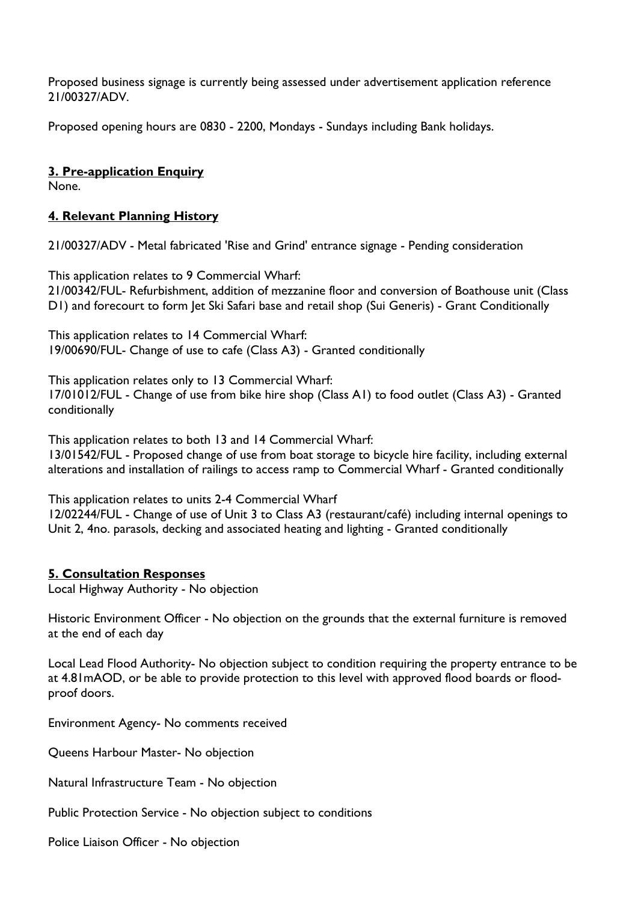Proposed business signage is currently being assessed under advertisement application reference 21/00327/ADV.

Proposed opening hours are 0830 - 2200, Mondays - Sundays including Bank holidays.

#### **3. Pre-application Enquiry**

None.

#### **4. Relevant Planning History**

21/00327/ADV - Metal fabricated 'Rise and Grind' entrance signage - Pending consideration

This application relates to 9 Commercial Wharf: 21/00342/FUL- Refurbishment, addition of mezzanine floor and conversion of Boathouse unit (Class D1) and forecourt to form Jet Ski Safari base and retail shop (Sui Generis) - Grant Conditionally

This application relates to 14 Commercial Wharf: 19/00690/FUL- Change of use to cafe (Class A3) - Granted conditionally

This application relates only to 13 Commercial Wharf: 17/01012/FUL - Change of use from bike hire shop (Class A1) to food outlet (Class A3) - Granted conditionally

This application relates to both 13 and 14 Commercial Wharf:

13/01542/FUL - Proposed change of use from boat storage to bicycle hire facility, including external alterations and installation of railings to access ramp to Commercial Wharf - Granted conditionally

This application relates to units 2-4 Commercial Wharf

12/02244/FUL - Change of use of Unit 3 to Class A3 (restaurant/café) including internal openings to Unit 2, 4no. parasols, decking and associated heating and lighting - Granted conditionally

#### **5. Consultation Responses**

Local Highway Authority - No objection

Historic Environment Officer - No objection on the grounds that the external furniture is removed at the end of each day

Local Lead Flood Authority- No objection subject to condition requiring the property entrance to be at 4.81mAOD, or be able to provide protection to this level with approved flood boards or floodproof doors.

Environment Agency- No comments received

Queens Harbour Master- No objection

Natural Infrastructure Team - No objection

Public Protection Service - No objection subject to conditions

Police Liaison Officer - No objection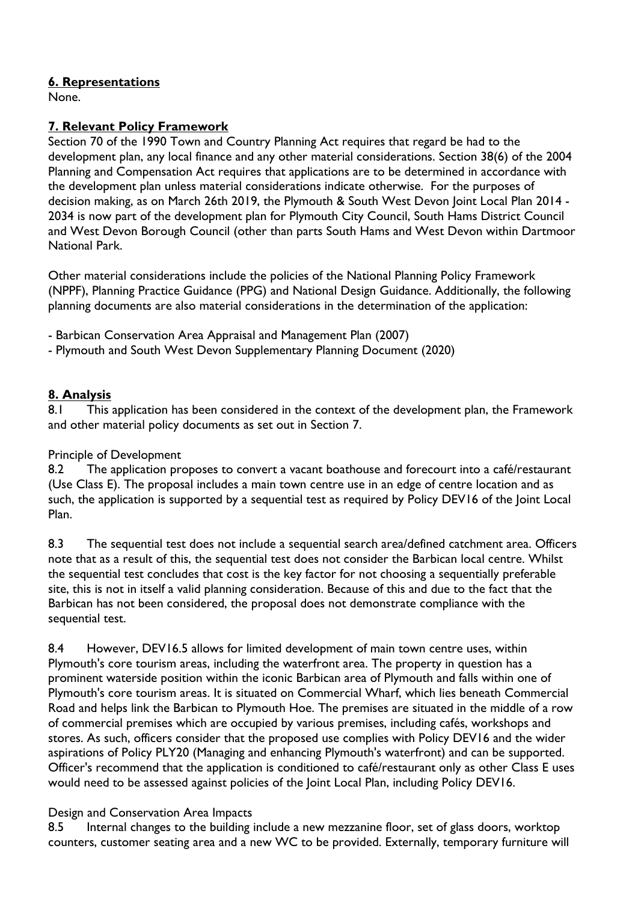## **6. Representations**

None.

#### **7. Relevant Policy Framework**

Section 70 of the 1990 Town and Country Planning Act requires that regard be had to the development plan, any local finance and any other material considerations. Section 38(6) of the 2004 Planning and Compensation Act requires that applications are to be determined in accordance with the development plan unless material considerations indicate otherwise. For the purposes of decision making, as on March 26th 2019, the Plymouth & South West Devon Joint Local Plan 2014 - 2034 is now part of the development plan for Plymouth City Council, South Hams District Council and West Devon Borough Council (other than parts South Hams and West Devon within Dartmoor National Park.

Other material considerations include the policies of the National Planning Policy Framework (NPPF), Planning Practice Guidance (PPG) and National Design Guidance. Additionally, the following planning documents are also material considerations in the determination of the application:

- Barbican Conservation Area Appraisal and Management Plan (2007)

- Plymouth and South West Devon Supplementary Planning Document (2020)

#### **8. Analysis**

8.1 This application has been considered in the context of the development plan, the Framework and other material policy documents as set out in Section 7.

#### Principle of Development

8.2 The application proposes to convert a vacant boathouse and forecourt into a café/restaurant (Use Class E). The proposal includes a main town centre use in an edge of centre location and as such, the application is supported by a sequential test as required by Policy DEV16 of the Joint Local Plan.

8.3 The sequential test does not include a sequential search area/defined catchment area. Officers note that as a result of this, the sequential test does not consider the Barbican local centre. Whilst the sequential test concludes that cost is the key factor for not choosing a sequentially preferable site, this is not in itself a valid planning consideration. Because of this and due to the fact that the Barbican has not been considered, the proposal does not demonstrate compliance with the sequential test.

8.4 However, DEV16.5 allows for limited development of main town centre uses, within Plymouth's core tourism areas, including the waterfront area. The property in question has a prominent waterside position within the iconic Barbican area of Plymouth and falls within one of Plymouth's core tourism areas. It is situated on Commercial Wharf, which lies beneath Commercial Road and helps link the Barbican to Plymouth Hoe. The premises are situated in the middle of a row of commercial premises which are occupied by various premises, including cafés, workshops and stores. As such, officers consider that the proposed use complies with Policy DEV16 and the wider aspirations of Policy PLY20 (Managing and enhancing Plymouth's waterfront) and can be supported. Officer's recommend that the application is conditioned to café/restaurant only as other Class E uses would need to be assessed against policies of the Joint Local Plan, including Policy DEV16.

#### Design and Conservation Area Impacts

8.5 Internal changes to the building include a new mezzanine floor, set of glass doors, worktop counters, customer seating area and a new WC to be provided. Externally, temporary furniture will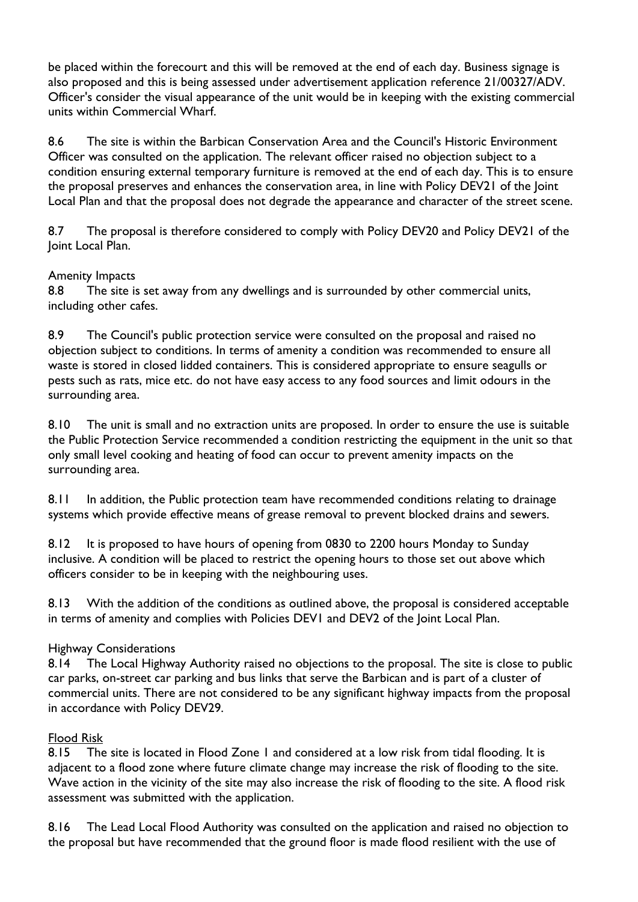be placed within the forecourt and this will be removed at the end of each day. Business signage is also proposed and this is being assessed under advertisement application reference 21/00327/ADV. Officer's consider the visual appearance of the unit would be in keeping with the existing commercial units within Commercial Wharf.

8.6 The site is within the Barbican Conservation Area and the Council's Historic Environment Officer was consulted on the application. The relevant officer raised no objection subject to a condition ensuring external temporary furniture is removed at the end of each day. This is to ensure the proposal preserves and enhances the conservation area, in line with Policy DEV21 of the Joint Local Plan and that the proposal does not degrade the appearance and character of the street scene.

8.7 The proposal is therefore considered to comply with Policy DEV20 and Policy DEV21 of the Joint Local Plan.

#### Amenity Impacts

8.8 The site is set away from any dwellings and is surrounded by other commercial units, including other cafes.

8.9 The Council's public protection service were consulted on the proposal and raised no objection subject to conditions. In terms of amenity a condition was recommended to ensure all waste is stored in closed lidded containers. This is considered appropriate to ensure seagulls or pests such as rats, mice etc. do not have easy access to any food sources and limit odours in the surrounding area.

8.10 The unit is small and no extraction units are proposed. In order to ensure the use is suitable the Public Protection Service recommended a condition restricting the equipment in the unit so that only small level cooking and heating of food can occur to prevent amenity impacts on the surrounding area.

8.11 In addition, the Public protection team have recommended conditions relating to drainage systems which provide effective means of grease removal to prevent blocked drains and sewers.

8.12 It is proposed to have hours of opening from 0830 to 2200 hours Monday to Sunday inclusive. A condition will be placed to restrict the opening hours to those set out above which officers consider to be in keeping with the neighbouring uses.

8.13 With the addition of the conditions as outlined above, the proposal is considered acceptable in terms of amenity and complies with Policies DEV1 and DEV2 of the Joint Local Plan.

#### Highway Considerations

8.14 The Local Highway Authority raised no objections to the proposal. The site is close to public car parks, on-street car parking and bus links that serve the Barbican and is part of a cluster of commercial units. There are not considered to be any significant highway impacts from the proposal in accordance with Policy DEV29.

#### Flood Risk

8.15 The site is located in Flood Zone 1 and considered at a low risk from tidal flooding. It is adjacent to a flood zone where future climate change may increase the risk of flooding to the site. Wave action in the vicinity of the site may also increase the risk of flooding to the site. A flood risk assessment was submitted with the application.

8.16 The Lead Local Flood Authority was consulted on the application and raised no objection to the proposal but have recommended that the ground floor is made flood resilient with the use of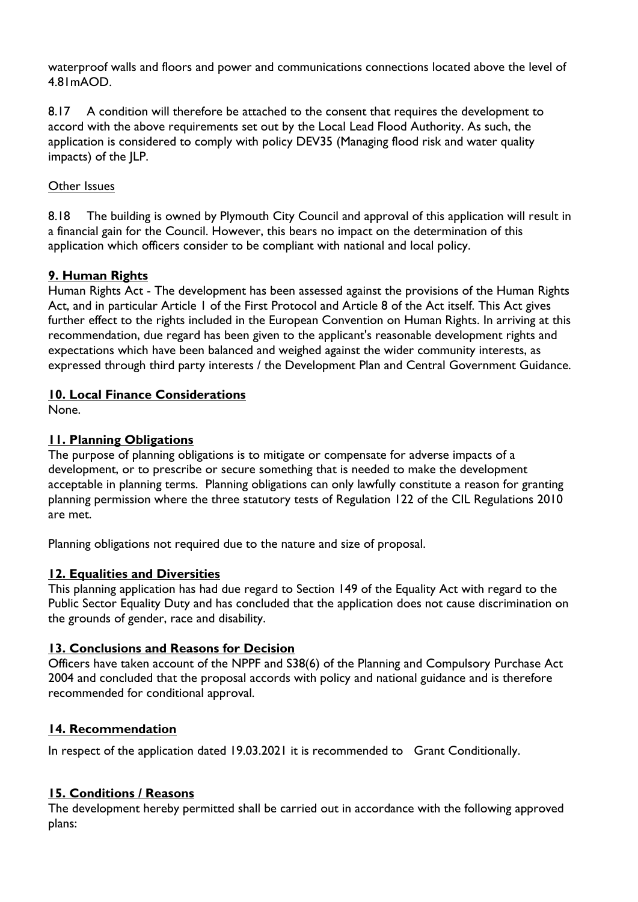waterproof walls and floors and power and communications connections located above the level of 4.81mAOD.

8.17 A condition will therefore be attached to the consent that requires the development to accord with the above requirements set out by the Local Lead Flood Authority. As such, the application is considered to comply with policy DEV35 (Managing flood risk and water quality impacts) of the JLP.

## Other Issues

8.18 The building is owned by Plymouth City Council and approval of this application will result in a financial gain for the Council. However, this bears no impact on the determination of this application which officers consider to be compliant with national and local policy.

#### **9. Human Rights**

Human Rights Act - The development has been assessed against the provisions of the Human Rights Act, and in particular Article 1 of the First Protocol and Article 8 of the Act itself. This Act gives further effect to the rights included in the European Convention on Human Rights. In arriving at this recommendation, due regard has been given to the applicant's reasonable development rights and expectations which have been balanced and weighed against the wider community interests, as expressed through third party interests / the Development Plan and Central Government Guidance.

#### **10. Local Finance Considerations**

None.

# **11. Planning Obligations**

The purpose of planning obligations is to mitigate or compensate for adverse impacts of a development, or to prescribe or secure something that is needed to make the development acceptable in planning terms. Planning obligations can only lawfully constitute a reason for granting planning permission where the three statutory tests of Regulation 122 of the CIL Regulations 2010 are met.

Planning obligations not required due to the nature and size of proposal.

#### **12. Equalities and Diversities**

This planning application has had due regard to Section 149 of the Equality Act with regard to the Public Sector Equality Duty and has concluded that the application does not cause discrimination on the grounds of gender, race and disability.

#### **13. Conclusions and Reasons for Decision**

Officers have taken account of the NPPF and S38(6) of the Planning and Compulsory Purchase Act 2004 and concluded that the proposal accords with policy and national guidance and is therefore recommended for conditional approval.

#### **14. Recommendation**

In respect of the application dated 19.03.2021 it is recommended to Grant Conditionally.

#### **15. Conditions / Reasons**

The development hereby permitted shall be carried out in accordance with the following approved plans: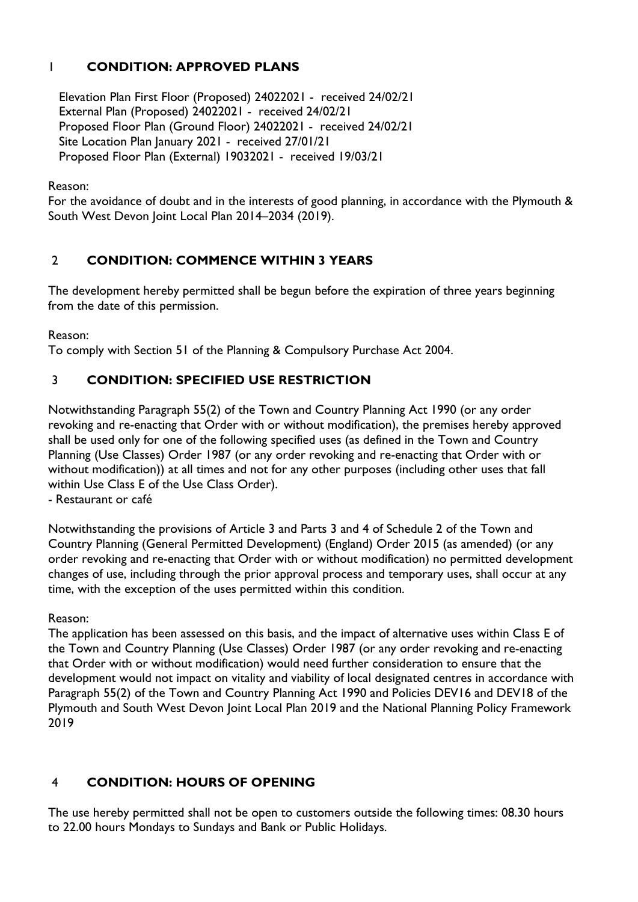# 1 **CONDITION: APPROVED PLANS**

 Elevation Plan First Floor (Proposed) 24022021 - received 24/02/21 External Plan (Proposed) 24022021 - received 24/02/21 Proposed Floor Plan (Ground Floor) 24022021 - received 24/02/21 Site Location Plan January 2021 - received 27/01/21 Proposed Floor Plan (External) 19032021 - received 19/03/21

Reason:

For the avoidance of doubt and in the interests of good planning, in accordance with the Plymouth & South West Devon Joint Local Plan 2014–2034 (2019).

# 2 **CONDITION: COMMENCE WITHIN 3 YEARS**

The development hereby permitted shall be begun before the expiration of three years beginning from the date of this permission.

Reason:

To comply with Section 51 of the Planning & Compulsory Purchase Act 2004.

# 3 **CONDITION: SPECIFIED USE RESTRICTION**

Notwithstanding Paragraph 55(2) of the Town and Country Planning Act 1990 (or any order revoking and re-enacting that Order with or without modification), the premises hereby approved shall be used only for one of the following specified uses (as defined in the Town and Country Planning (Use Classes) Order 1987 (or any order revoking and re-enacting that Order with or without modification)) at all times and not for any other purposes (including other uses that fall within Use Class E of the Use Class Order).

- Restaurant or café

Notwithstanding the provisions of Article 3 and Parts 3 and 4 of Schedule 2 of the Town and Country Planning (General Permitted Development) (England) Order 2015 (as amended) (or any order revoking and re-enacting that Order with or without modification) no permitted development changes of use, including through the prior approval process and temporary uses, shall occur at any time, with the exception of the uses permitted within this condition.

#### Reason:

The application has been assessed on this basis, and the impact of alternative uses within Class E of the Town and Country Planning (Use Classes) Order 1987 (or any order revoking and re-enacting that Order with or without modification) would need further consideration to ensure that the development would not impact on vitality and viability of local designated centres in accordance with Paragraph 55(2) of the Town and Country Planning Act 1990 and Policies DEV16 and DEV18 of the Plymouth and South West Devon Joint Local Plan 2019 and the National Planning Policy Framework 2019

# 4 **CONDITION: HOURS OF OPENING**

The use hereby permitted shall not be open to customers outside the following times: 08.30 hours to 22.00 hours Mondays to Sundays and Bank or Public Holidays.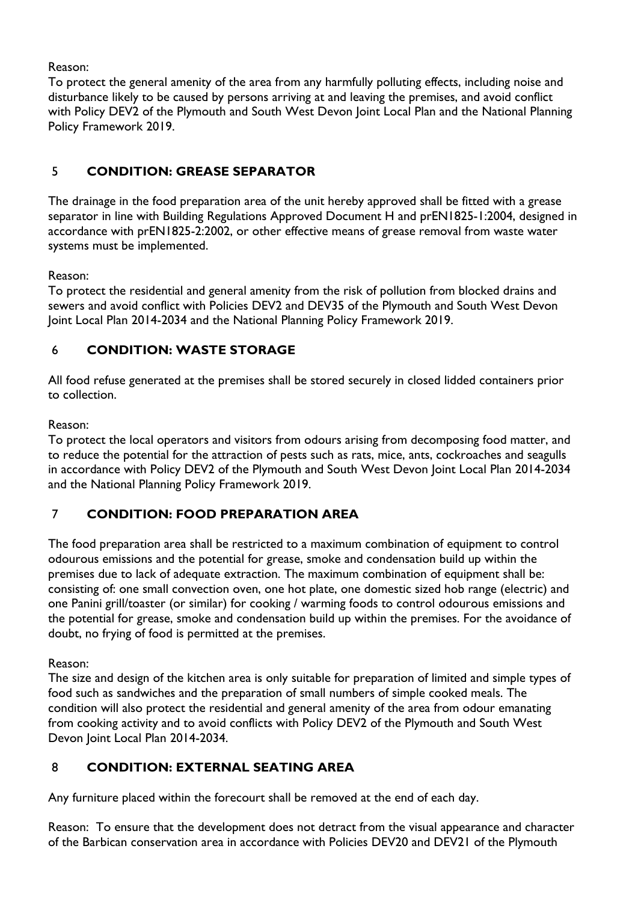Reason:

To protect the general amenity of the area from any harmfully polluting effects, including noise and disturbance likely to be caused by persons arriving at and leaving the premises, and avoid conflict with Policy DEV2 of the Plymouth and South West Devon Joint Local Plan and the National Planning Policy Framework 2019.

# 5 **CONDITION: GREASE SEPARATOR**

The drainage in the food preparation area of the unit hereby approved shall be fitted with a grease separator in line with Building Regulations Approved Document H and prEN1825-1:2004, designed in accordance with prEN1825-2:2002, or other effective means of grease removal from waste water systems must be implemented.

Reason:

To protect the residential and general amenity from the risk of pollution from blocked drains and sewers and avoid conflict with Policies DEV2 and DEV35 of the Plymouth and South West Devon Joint Local Plan 2014-2034 and the National Planning Policy Framework 2019.

# 6 **CONDITION: WASTE STORAGE**

All food refuse generated at the premises shall be stored securely in closed lidded containers prior to collection.

# Reason:

To protect the local operators and visitors from odours arising from decomposing food matter, and to reduce the potential for the attraction of pests such as rats, mice, ants, cockroaches and seagulls in accordance with Policy DEV2 of the Plymouth and South West Devon Joint Local Plan 2014-2034 and the National Planning Policy Framework 2019.

# 7 **CONDITION: FOOD PREPARATION AREA**

The food preparation area shall be restricted to a maximum combination of equipment to control odourous emissions and the potential for grease, smoke and condensation build up within the premises due to lack of adequate extraction. The maximum combination of equipment shall be: consisting of: one small convection oven, one hot plate, one domestic sized hob range (electric) and one Panini grill/toaster (or similar) for cooking / warming foods to control odourous emissions and the potential for grease, smoke and condensation build up within the premises. For the avoidance of doubt, no frying of food is permitted at the premises.

Reason:

The size and design of the kitchen area is only suitable for preparation of limited and simple types of food such as sandwiches and the preparation of small numbers of simple cooked meals. The condition will also protect the residential and general amenity of the area from odour emanating from cooking activity and to avoid conflicts with Policy DEV2 of the Plymouth and South West Devon Joint Local Plan 2014-2034.

# 8 **CONDITION: EXTERNAL SEATING AREA**

Any furniture placed within the forecourt shall be removed at the end of each day.

Reason: To ensure that the development does not detract from the visual appearance and character of the Barbican conservation area in accordance with Policies DEV20 and DEV21 of the Plymouth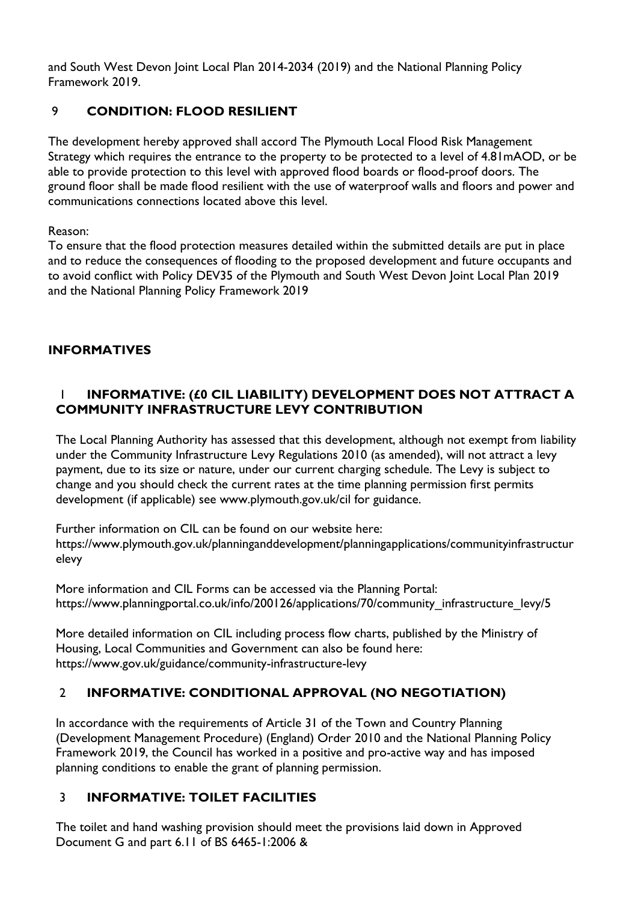and South West Devon Joint Local Plan 2014-2034 (2019) and the National Planning Policy Framework 2019.

# 9 **CONDITION: FLOOD RESILIENT**

The development hereby approved shall accord The Plymouth Local Flood Risk Management Strategy which requires the entrance to the property to be protected to a level of 4.81mAOD, or be able to provide protection to this level with approved flood boards or flood-proof doors. The ground floor shall be made flood resilient with the use of waterproof walls and floors and power and communications connections located above this level.

Reason:

To ensure that the flood protection measures detailed within the submitted details are put in place and to reduce the consequences of flooding to the proposed development and future occupants and to avoid conflict with Policy DEV35 of the Plymouth and South West Devon Joint Local Plan 2019 and the National Planning Policy Framework 2019

# **INFORMATIVES**

# 1 **INFORMATIVE: (£0 CIL LIABILITY) DEVELOPMENT DOES NOT ATTRACT A COMMUNITY INFRASTRUCTURE LEVY CONTRIBUTION**

The Local Planning Authority has assessed that this development, although not exempt from liability under the Community Infrastructure Levy Regulations 2010 (as amended), will not attract a levy payment, due to its size or nature, under our current charging schedule. The Levy is subject to change and you should check the current rates at the time planning permission first permits development (if applicable) see www.plymouth.gov.uk/cil for guidance.

Further information on CIL can be found on our website here: https://www.plymouth.gov.uk/planninganddevelopment/planningapplications/communityinfrastructur elevy

More information and CIL Forms can be accessed via the Planning Portal: https://www.planningportal.co.uk/info/200126/applications/70/community\_infrastructure\_levy/5

More detailed information on CIL including process flow charts, published by the Ministry of Housing, Local Communities and Government can also be found here: https://www.gov.uk/guidance/community-infrastructure-levy

# 2 **INFORMATIVE: CONDITIONAL APPROVAL (NO NEGOTIATION)**

In accordance with the requirements of Article 31 of the Town and Country Planning (Development Management Procedure) (England) Order 2010 and the National Planning Policy Framework 2019, the Council has worked in a positive and pro-active way and has imposed planning conditions to enable the grant of planning permission.

# 3 **INFORMATIVE: TOILET FACILITIES**

The toilet and hand washing provision should meet the provisions laid down in Approved Document G and part 6.11 of BS 6465-1:2006 &